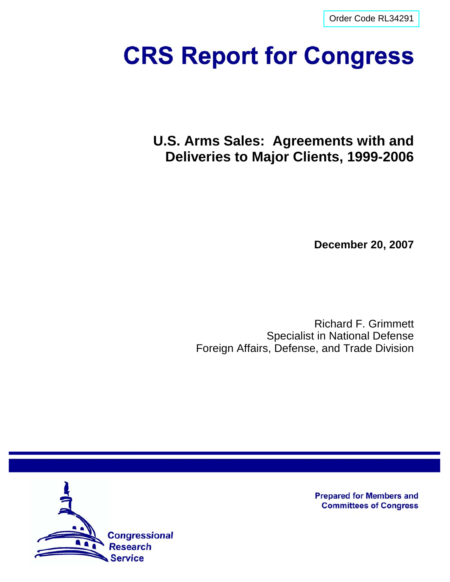[Order Code RL34291](http://www.fas.org/sgp/crs/weapons/index.html)

# **CRS Report for Congress**

**U.S. Arms Sales: Agreements with and Deliveries to Major Clients, 1999-2006**

**December 20, 2007**

Richard F. Grimmett Specialist in National Defense Foreign Affairs, Defense, and Trade Division



**Prepared for Members and Committees of Congress**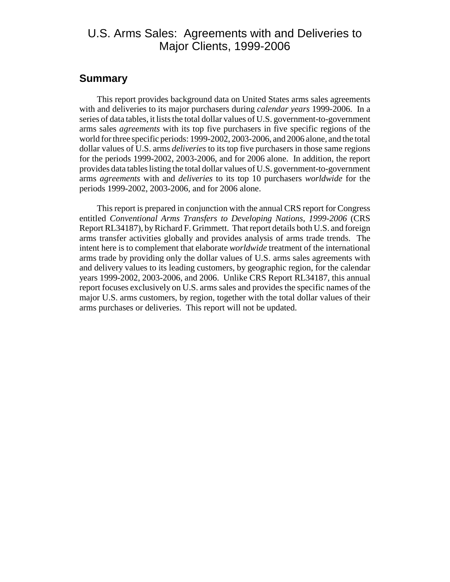# U.S. Arms Sales: Agreements with and Deliveries to Major Clients, 1999-2006

#### **Summary**

This report provides background data on United States arms sales agreements with and deliveries to its major purchasers during *calendar years* 1999-2006. In a series of data tables, it lists the total dollar values of U.S. government-to-government arms sales *agreements* with its top five purchasers in five specific regions of the world for three specific periods: 1999-2002, 2003-2006, and 2006 alone, and the total dollar values of U.S. arms *deliveries* to its top five purchasers in those same regions for the periods 1999-2002, 2003-2006, and for 2006 alone. In addition, the report provides data tables listing the total dollar values of U.S. government-to-government arms *agreements* with and *deliveries* to its top 10 purchasers *worldwide* for the periods 1999-2002, 2003-2006, and for 2006 alone.

This report is prepared in conjunction with the annual CRS report for Congress entitled *Conventional Arms Transfers to Developing Nations, 1999-2006* (CRS Report RL34187), by Richard F. Grimmett. That report details both U.S. and foreign arms transfer activities globally and provides analysis of arms trade trends. The intent here is to complement that elaborate *worldwide* treatment of the international arms trade by providing only the dollar values of U.S. arms sales agreements with and delivery values to its leading customers, by geographic region, for the calendar years 1999-2002, 2003-2006, and 2006. Unlike CRS Report RL34187, this annual report focuses exclusively on U.S. arms sales and provides the specific names of the major U.S. arms customers, by region, together with the total dollar values of their arms purchases or deliveries. This report will not be updated.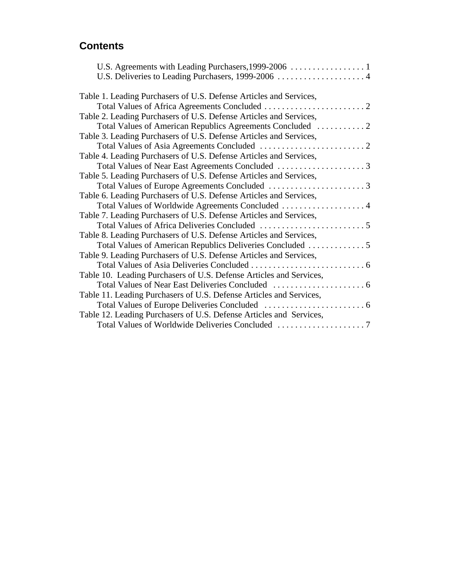# **Contents**

| Table 1. Leading Purchasers of U.S. Defense Articles and Services,  |  |
|---------------------------------------------------------------------|--|
|                                                                     |  |
| Table 2. Leading Purchasers of U.S. Defense Articles and Services,  |  |
|                                                                     |  |
| Table 3. Leading Purchasers of U.S. Defense Articles and Services,  |  |
|                                                                     |  |
| Table 4. Leading Purchasers of U.S. Defense Articles and Services,  |  |
|                                                                     |  |
| Table 5. Leading Purchasers of U.S. Defense Articles and Services,  |  |
|                                                                     |  |
| Table 6. Leading Purchasers of U.S. Defense Articles and Services,  |  |
| Total Values of Worldwide Agreements Concluded  4                   |  |
| Table 7. Leading Purchasers of U.S. Defense Articles and Services,  |  |
|                                                                     |  |
| Table 8. Leading Purchasers of U.S. Defense Articles and Services,  |  |
|                                                                     |  |
| Table 9. Leading Purchasers of U.S. Defense Articles and Services,  |  |
|                                                                     |  |
| Table 10. Leading Purchasers of U.S. Defense Articles and Services, |  |
|                                                                     |  |
| Table 11. Leading Purchasers of U.S. Defense Articles and Services, |  |
|                                                                     |  |
| Table 12. Leading Purchasers of U.S. Defense Articles and Services, |  |
|                                                                     |  |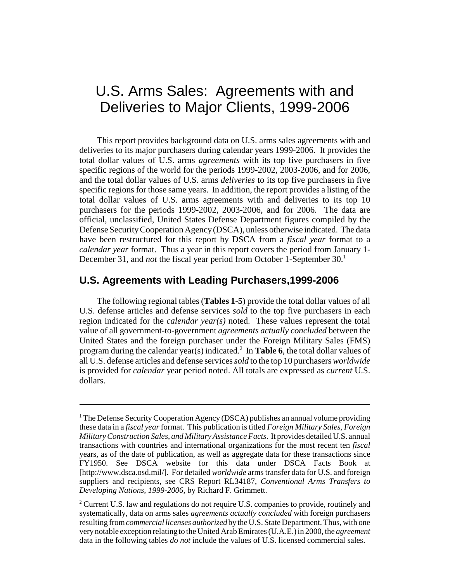# U.S. Arms Sales: Agreements with and Deliveries to Major Clients, 1999-2006

This report provides background data on U.S. arms sales agreements with and deliveries to its major purchasers during calendar years 1999-2006. It provides the total dollar values of U.S. arms *agreements* with its top five purchasers in five specific regions of the world for the periods 1999-2002, 2003-2006, and for 2006, and the total dollar values of U.S. arms *deliveries* to its top five purchasers in five specific regions for those same years. In addition, the report provides a listing of the total dollar values of U.S. arms agreements with and deliveries to its top 10 purchasers for the periods 1999-2002, 2003-2006, and for 2006. The data are official, unclassified, United States Defense Department figures compiled by the Defense Security Cooperation Agency (DSCA), unless otherwise indicated. The data have been restructured for this report by DSCA from a *fiscal year* format to a *calendar year* format. Thus a year in this report covers the period from January 1- December 31, and *not* the fiscal year period from October 1-September 30.<sup>1</sup>

#### **U.S. Agreements with Leading Purchasers,1999-2006**

The following regional tables (**Tables 1-5**) provide the total dollar values of all U.S. defense articles and defense services *sold* to the top five purchasers in each region indicated for the *calendar year(s)* noted. These values represent the total value of all government-to-government *agreements actually concluded* between the United States and the foreign purchaser under the Foreign Military Sales (FMS) program during the calendar year(s) indicated.<sup>2</sup> In Table 6, the total dollar values of all U.S. defense articles and defense services *sold* to the top 10 purchasers *worldwide* is provided for *calendar* year period noted. All totals are expressed as *current* U.S. dollars.

<sup>&</sup>lt;sup>1</sup> The Defense Security Cooperation Agency (DSCA) publishes an annual volume providing these data in a *fiscal year* format. This publication is titled *Foreign Military Sales, Foreign Military Construction Sales, and Military Assistance Facts*. It provides detailed U.S. annual transactions with countries and international organizations for the most recent ten *fiscal* years, as of the date of publication, as well as aggregate data for these transactions since FY1950. See DSCA website for this data under DSCA Facts Book at [http://www.dsca.osd.mil/]. For detailed *worldwide* arms transfer data for U.S. and foreign suppliers and recipients, see CRS Report RL34187, *Conventional Arms Transfers to Developing Nations, 1999-2006*, by Richard F. Grimmett.

<sup>&</sup>lt;sup>2</sup> Current U.S. law and regulations do not require U.S. companies to provide, routinely and systematically, data on arms sales *agreements actually concluded* with foreign purchasers resulting from *commercial licenses authorized* by the U.S. State Department. Thus, with one very notable exception relating to the United Arab Emirates (U.A.E.) in 2000, the *agreement* data in the following tables *do not* include the values of U.S. licensed commercial sales.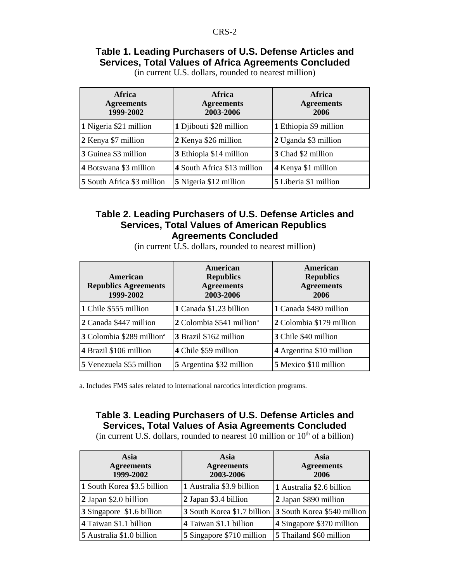#### **Table 1. Leading Purchasers of U.S. Defense Articles and Services, Total Values of Africa Agreements Concluded**

| <b>Africa</b><br><b>Agreements</b><br>1999-2002 | <b>Africa</b><br><b>Agreements</b><br>2003-2006 | Africa<br><b>Agreements</b><br>2006 |
|-------------------------------------------------|-------------------------------------------------|-------------------------------------|
| 1 Nigeria \$21 million                          | 1 Djibouti \$28 million                         | 1 Ethiopia \$9 million              |
| 2 Kenya \$7 million                             | 2 Kenya \$26 million                            | 2 Uganda \$3 million                |
| 3 Guinea \$3 million                            | 3 Ethiopia \$14 million                         | 3 Chad \$2 million                  |
| 4 Botswana \$3 million                          | 4 South Africa \$13 million                     | 4 Kenya \$1 million                 |
| 5 South Africa \$3 million                      | 5 Nigeria \$12 million                          | 5 Liberia \$1 million               |

(in current U.S. dollars, rounded to nearest million)

#### **Table 2. Leading Purchasers of U.S. Defense Articles and Services, Total Values of American Republics Agreements Concluded**

(in current U.S. dollars, rounded to nearest million)

| American<br><b>Republics Agreements</b><br>1999-2002 | American<br><b>Republics</b><br><b>Agreements</b><br>2003-2006 | American<br><b>Republics</b><br><b>Agreements</b><br>2006 |
|------------------------------------------------------|----------------------------------------------------------------|-----------------------------------------------------------|
| 1 Chile \$555 million                                | 1 Canada \$1.23 billion                                        | 1 Canada \$480 million                                    |
| 2 Canada \$447 million                               | 2 Colombia \$541 million <sup>a</sup>                          | 2 Colombia \$179 million                                  |
| 3 Colombia \$289 million <sup>a</sup>                | 3 Brazil \$162 million                                         | 3 Chile \$40 million                                      |
| 4 Brazil \$106 million                               | 4 Chile \$59 million                                           | 4 Argentina \$10 million                                  |
| 5 Venezuela \$55 million                             | 5 Argentina \$32 million                                       | 5 Mexico \$10 million                                     |

a. Includes FMS sales related to international narcotics interdiction programs.

## **Table 3. Leading Purchasers of U.S. Defense Articles and Services, Total Values of Asia Agreements Concluded**

(in current U.S. dollars, rounded to nearest  $10$  million or  $10<sup>th</sup>$  of a billion)

| Asia<br><b>Agreements</b><br>1999-2002 | Asia<br><b>Agreements</b><br>2003-2006 | Asia<br><b>Agreements</b><br>2006 |
|----------------------------------------|----------------------------------------|-----------------------------------|
| 1 South Korea \$3.5 billion            | 1 Australia \$3.9 billion              | 1 Australia \$2.6 billion         |
| 2 Japan \$2.0 billion                  | 2 Japan \$3.4 billion                  | 2 Japan \$890 million             |
| 3 Singapore \$1.6 billion              | 3 South Korea \$1.7 billion            | 3 South Korea \$540 million       |
| 4 Taiwan \$1.1 billion                 | 4 Taiwan \$1.1 billion                 | 4 Singapore \$370 million         |
| 5 Australia \$1.0 billion              | 5 Singapore \$710 million              | 5 Thailand \$60 million           |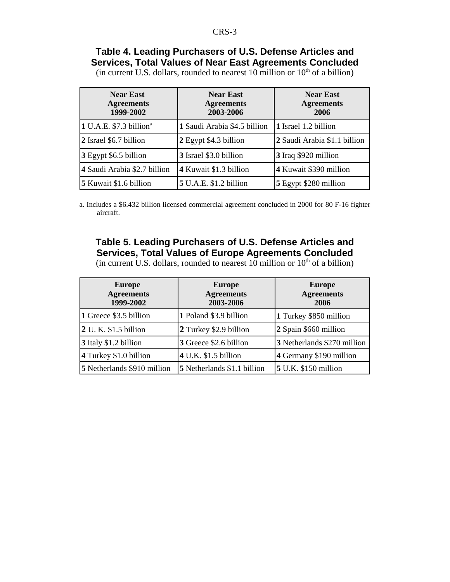#### **Table 4. Leading Purchasers of U.S. Defense Articles and Services, Total Values of Near East Agreements Concluded**

(in current U.S. dollars, rounded to nearest 10 million or  $10<sup>th</sup>$  of a billion)

| <b>Near East</b><br><b>Agreements</b><br>1999-2002 | <b>Near East</b><br><b>Agreements</b><br>2003-2006 | <b>Near East</b><br><b>Agreements</b><br>2006 |
|----------------------------------------------------|----------------------------------------------------|-----------------------------------------------|
| $1$ U.A.E. \$7.3 billion <sup>a</sup>              | 1 Saudi Arabia \$4.5 billion                       | 1 Israel 1.2 billion                          |
| 2 Israel \$6.7 billion                             | 2 Egypt \$4.3 billion                              | 2 Saudi Arabia \$1.1 billion                  |
| 3 Egypt \$6.5 billion                              | 3 Israel \$3.0 billion                             | 3 Iraq \$920 million                          |
| 4 Saudi Arabia \$2.7 billion                       | 4 Kuwait \$1.3 billion                             | 4 Kuwait \$390 million                        |
| 5 Kuwait \$1.6 billion                             | 5 U.A.E. \$1.2 billion                             | 5 Egypt \$280 million                         |

a. Includes a \$6.432 billion licensed commercial agreement concluded in 2000 for 80 F-16 fighter aircraft.

#### **Table 5. Leading Purchasers of U.S. Defense Articles and Services, Total Values of Europe Agreements Concluded** (in current U.S. dollars, rounded to nearest  $10$  million or  $10<sup>th</sup>$  of a billion)

| <b>Europe</b><br><b>Agreements</b><br>1999-2002 | <b>Europe</b><br><b>Agreements</b><br>2003-2006 | <b>Europe</b><br><b>Agreements</b><br>2006 |
|-------------------------------------------------|-------------------------------------------------|--------------------------------------------|
| 1 Greece \$3.5 billion                          | 1 Poland \$3.9 billion                          | 1 Turkey \$850 million                     |
| 2 U. K. \$1.5 billion                           | 2 Turkey \$2.9 billion                          | 2 Spain \$660 million                      |
| 3 Italy \$1.2 billion                           | 3 Greece \$2.6 billion                          | 3 Netherlands \$270 million                |
| 4 Turkey \$1.0 billion                          | 4 U.K. \$1.5 billion                            | 4 Germany \$190 million                    |
| 5 Netherlands \$910 million                     | 5 Netherlands \$1.1 billion                     | 5 U.K. \$150 million                       |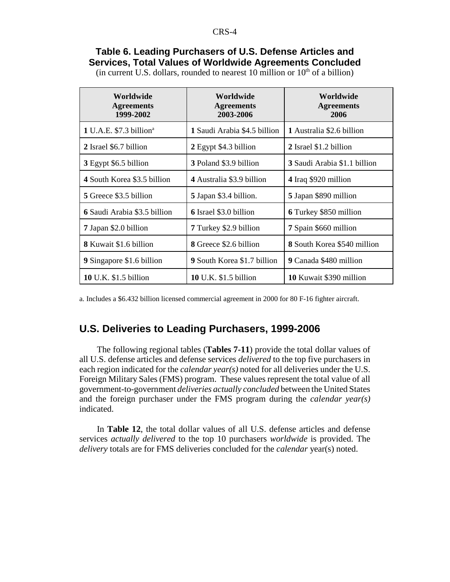#### **Table 6. Leading Purchasers of U.S. Defense Articles and Services, Total Values of Worldwide Agreements Concluded**

(in current U.S. dollars, rounded to nearest 10 million or  $10<sup>th</sup>$  of a billion)

| Worldwide<br><b>Agreements</b><br>1999-2002 | Worldwide<br><b>Agreements</b><br>2003-2006 | Worldwide<br><b>Agreements</b><br>2006 |
|---------------------------------------------|---------------------------------------------|----------------------------------------|
| $1$ U.A.E. \$7.3 billion <sup>a</sup>       | 1 Saudi Arabia \$4.5 billion                | 1 Australia \$2.6 billion              |
| 2 Israel \$6.7 billion                      | 2 Egypt \$4.3 billion                       | 2 Israel \$1.2 billion                 |
| 3 Egypt \$6.5 billion                       | 3 Poland \$3.9 billion                      | 3 Saudi Arabia \$1.1 billion           |
| 4 South Korea \$3.5 billion                 | 4 Australia \$3.9 billion                   | 4 Iraq \$920 million                   |
| 5 Greece \$3.5 billion                      | 5 Japan \$3.4 billion.                      | 5 Japan \$890 million                  |
| 6 Saudi Arabia \$3.5 billion                | <b>6</b> Israel \$3.0 billion               | 6 Turkey \$850 million                 |
| 7 Japan \$2.0 billion                       | 7 Turkey \$2.9 billion                      | 7 Spain \$660 million                  |
| 8 Kuwait \$1.6 billion                      | <b>8</b> Greece \$2.6 billion               | <b>8</b> South Korea \$540 million     |
| 9 Singapore \$1.6 billion                   | 9 South Korea \$1.7 billion                 | 9 Canada \$480 million                 |
| <b>10</b> U.K. \$1.5 billion                | <b>10</b> U.K. \$1.5 billion                | 10 Kuwait \$390 million                |

a. Includes a \$6.432 billion licensed commercial agreement in 2000 for 80 F-16 fighter aircraft.

#### **U.S. Deliveries to Leading Purchasers, 1999-2006**

The following regional tables (**Tables 7-11**) provide the total dollar values of all U.S. defense articles and defense services *delivered* to the top five purchasers in each region indicated for the *calendar year(s)* noted for all deliveries under the U.S. Foreign Military Sales (FMS) program. These values represent the total value of all government-to-government *deliveries actually concluded* between the United States and the foreign purchaser under the FMS program during the *calendar year(s)* indicated.

In **Table 12**, the total dollar values of all U.S. defense articles and defense services *actually delivered* to the top 10 purchasers *worldwide* is provided. The *delivery* totals are for FMS deliveries concluded for the *calendar* year(s) noted.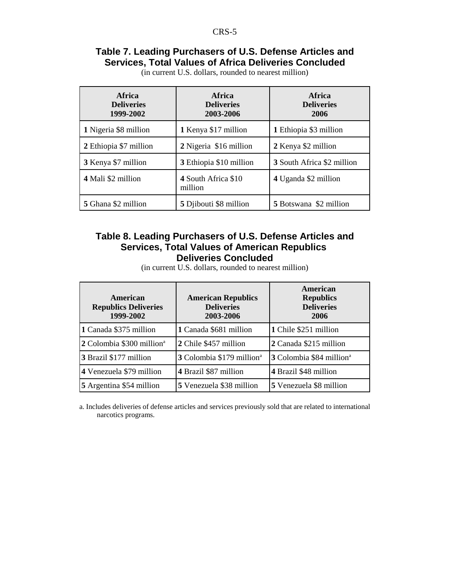#### **Table 7. Leading Purchasers of U.S. Defense Articles and Services, Total Values of Africa Deliveries Concluded**

| <b>Africa</b><br><b>Deliveries</b><br>1999-2002 | <b>Africa</b><br><b>Deliveries</b><br>2003-2006 | Africa<br><b>Deliveries</b><br>2006 |
|-------------------------------------------------|-------------------------------------------------|-------------------------------------|
| 1 Nigeria \$8 million                           | 1 Kenya \$17 million                            | 1 Ethiopia \$3 million              |
| 2 Ethiopia \$7 million                          | 2 Nigeria \$16 million                          | 2 Kenya \$2 million                 |
| 3 Kenya \$7 million                             | 3 Ethiopia \$10 million                         | 3 South Africa \$2 million          |
| 4 Mali \$2 million                              | 4 South Africa \$10<br>million                  | 4 Uganda \$2 million                |
| 5 Ghana \$2 million                             | 5 Djibouti \$8 million                          | <b>5</b> Botswana \$2 million       |

(in current U.S. dollars, rounded to nearest million)

#### **Table 8. Leading Purchasers of U.S. Defense Articles and Services, Total Values of American Republics Deliveries Concluded**

(in current U.S. dollars, rounded to nearest million)

| American<br><b>Republics Deliveries</b><br>1999-2002 | <b>American Republics</b><br><b>Deliveries</b><br>2003-2006 | American<br><b>Republics</b><br><b>Deliveries</b><br>2006 |
|------------------------------------------------------|-------------------------------------------------------------|-----------------------------------------------------------|
| 1 Canada \$375 million                               | 1 Canada \$681 million                                      | 1 Chile \$251 million                                     |
| 2 Colombia \$300 million <sup>a</sup>                | 2 Chile \$457 million                                       | 2 Canada \$215 million                                    |
| 3 Brazil \$177 million                               | 3 Colombia \$179 million <sup>a</sup>                       | 3 Colombia \$84 million <sup>a</sup>                      |
| 4 Venezuela \$79 million                             | 4 Brazil \$87 million                                       | 4 Brazil \$48 million                                     |
| 5 Argentina \$54 million                             | 5 Venezuela \$38 million                                    | 5 Venezuela \$8 million                                   |

a. Includes deliveries of defense articles and services previously sold that are related to international narcotics programs.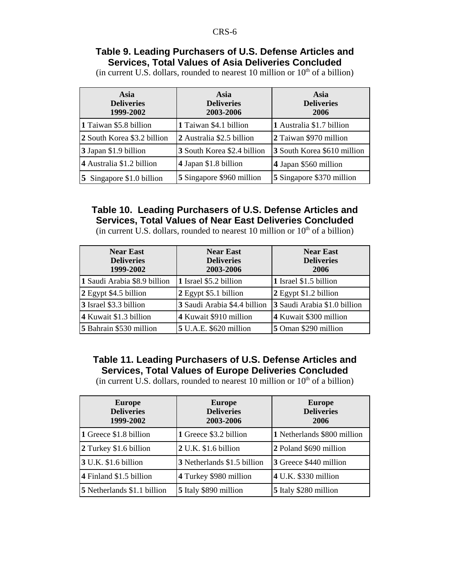#### **Table 9. Leading Purchasers of U.S. Defense Articles and Services, Total Values of Asia Deliveries Concluded**

(in current U.S. dollars, rounded to nearest 10 million or  $10<sup>th</sup>$  of a billion)

| Asia<br><b>Deliveries</b><br>1999-2002 | <b>Asia</b><br><b>Deliveries</b><br>2003-2006 | Asia<br><b>Deliveries</b><br>2006 |
|----------------------------------------|-----------------------------------------------|-----------------------------------|
| 1 Taiwan \$5.8 billion                 | 1 Taiwan \$4.1 billion                        | 1 Australia \$1.7 billion         |
| 2 South Korea \$3.2 billion            | 2 Australia \$2.5 billion                     | 2 Taiwan \$970 million            |
| 3 Japan \$1.9 billion                  | 3 South Korea \$2.4 billion                   | 3 South Korea \$610 million       |
| 4 Australia \$1.2 billion              | 4 Japan \$1.8 billion                         | 4 Japan \$560 million             |
| 5 Singapore \$1.0 billion              | 5 Singapore \$960 million                     | 5 Singapore \$370 million         |

### **Table 10. Leading Purchasers of U.S. Defense Articles and Services, Total Values of Near East Deliveries Concluded**

(in current U.S. dollars, rounded to nearest 10 million or  $10<sup>th</sup>$  of a billion)

| <b>Near East</b><br><b>Deliveries</b><br>1999-2002 | <b>Near East</b><br><b>Deliveries</b><br>2003-2006 | <b>Near East</b><br><b>Deliveries</b><br>2006 |
|----------------------------------------------------|----------------------------------------------------|-----------------------------------------------|
| 1 Saudi Arabia \$8.9 billion                       | 1 Israel \$5.2 billion                             | 1 Israel \$1.5 billion                        |
| 2 Egypt \$4.5 billion                              | 2 Egypt \$5.1 billion                              | 2 Egypt \$1.2 billion                         |
| 3 Israel \$3.3 billion                             | 3 Saudi Arabia \$4.4 billion                       | 3 Saudi Arabia \$1.0 billion                  |
| 4 Kuwait \$1.3 billion                             | 4 Kuwait \$910 million                             | 4 Kuwait \$300 million                        |
| 5 Bahrain \$530 million                            | 5 U.A.E. \$620 million                             | 5 Oman \$290 million                          |

#### **Table 11. Leading Purchasers of U.S. Defense Articles and Services, Total Values of Europe Deliveries Concluded**

(in current U.S. dollars, rounded to nearest 10 million or  $10<sup>th</sup>$  of a billion)

| <b>Europe</b><br><b>Deliveries</b><br>1999-2002 | <b>Europe</b><br><b>Deliveries</b><br>2003-2006 | <b>Europe</b><br><b>Deliveries</b><br>2006 |
|-------------------------------------------------|-------------------------------------------------|--------------------------------------------|
| 1 Greece \$1.8 billion                          | 1 Greece \$3.2 billion                          | 1 Netherlands \$800 million                |
| 2 Turkey \$1.6 billion                          | 2 U.K. \$1.6 billion                            | 2 Poland \$690 million                     |
| 3 U.K. \$1.6 billion                            | 3 Netherlands \$1.5 billion                     | 3 Greece \$440 million                     |
| 4 Finland \$1.5 billion                         | 4 Turkey \$980 million                          | 4 U.K. \$330 million                       |
| 5 Netherlands \$1.1 billion                     | 5 Italy \$890 million                           | 5 Italy \$280 million                      |